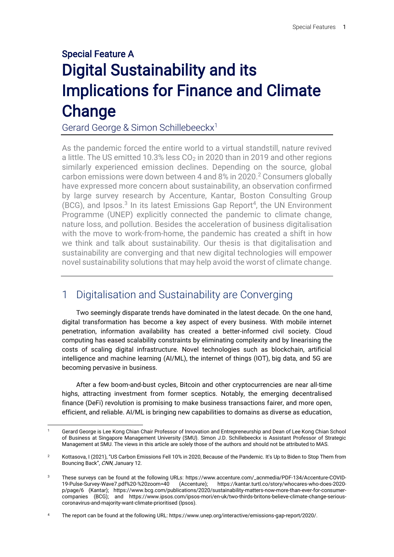# Special Feature A Digital Sustainability and its Implications for Finance and Climate **Change**

Gerard George & Simon Schillebeeckx<sup>1</sup>

As the pandemic forced the entire world to a virtual standstill, nature revived a little. The US emitted 10.3% less  $CO<sub>2</sub>$  in 2020 than in 2019 and other regions similarly experienced emission declines. Depending on the source, global carbon emissions were down between 4 and 8% in 2020.<sup>2</sup> Consumers globally have expressed more concern about sustainability, an observation confirmed by large survey research by Accenture, Kantar, Boston Consulting Group  $(BCG)$ , and Ipsos.<sup>3</sup> In its latest Emissions Gap Report<sup>4</sup>, the UN Environment Programme (UNEP) explicitly connected the pandemic to climate change, nature loss, and pollution. Besides the acceleration of business digitalisation with the move to work-from-home, the pandemic has created a shift in how we think and talk about sustainability. Our thesis is that digitalisation and sustainability are converging and that new digital technologies will empower novel sustainability solutions that may help avoid the worst of climate change.

## 1 Digitalisation and Sustainability are Converging

Two seemingly disparate trends have dominated in the latest decade. On the one hand, digital transformation has become a key aspect of every business. With mobile internet penetration, information availability has created a better-informed civil society. Cloud computing has eased scalability constraints by eliminating complexity and by linearising the costs of scaling digital infrastructure. Novel technologies such as blockchain, artificial intelligence and machine learning (AI/ML), the internet of things (IOT), big data, and 5G are becoming pervasive in business.

After a few boom-and-bust cycles, Bitcoin and other cryptocurrencies are near all-time highs, attracting investment from former sceptics. Notably, the emerging decentralised finance (DeFi) revolution is promising to make business transactions fairer, and more open, efficient, and reliable. AI/ML is bringing new capabilities to domains as diverse as education,

<sup>4</sup> The report can be found at the following URL: https://www.unep.org/interactive/emissions-gap-report/2020/.

<sup>1</sup> Gerard George is Lee Kong Chian Chair Professor of Innovation and Entrepreneurship and Dean of Lee Kong Chian School of Business at Singapore Management University (SMU). Simon J.D. Schillebeeckx is Assistant Professor of Strategic Management at SMU. The views in this article are solely those of the authors and should not be attributed to MAS.

<sup>&</sup>lt;sup>2</sup> Kottasova, I (2021), "US Carbon Emissions Fell 10% in 2020, Because of the Pandemic. It's Up to Biden to Stop Them from Bouncing Back", CNN, January 12.

<sup>3</sup> These surveys can be found at the following URLs: [https://www.accenture.com/\\_acnmedia/PDF-134/Accenture-COVID-](https://www.accenture.com/_acnmedia/PDF-134/Accenture-COVID-19-Pulse-Survey-Wave7.pdf%20-%20zoom=40)[19-Pulse-Survey-Wave7.pdf%20-%20zoom=40](https://www.accenture.com/_acnmedia/PDF-134/Accenture-COVID-19-Pulse-Survey-Wave7.pdf%20-%20zoom=40) (Accenture); [https://kantar.turtl.co/story/whocares-who-does-2020](https://kantar.turtl.co/story/whocares-who-does-2020-p/page/6) [p/page/6](https://kantar.turtl.co/story/whocares-who-does-2020-p/page/6) (Kantar); [https://www.bcg.com/publications/2020/sustainability-matters-now-more-than-ever-for-consumer](https://www.bcg.com/publications/2020/sustainability-matters-now-more-than-ever-for-consumer-companies)[companies](https://www.bcg.com/publications/2020/sustainability-matters-now-more-than-ever-for-consumer-companies) (BCG); and [https://www.ipsos.com/ipsos-mori/en-uk/two-thirds-britons-believe-climate-change-serious](https://www.ipsos.com/ipsos-mori/en-uk/two-thirds-britons-believe-climate-change-serious-coronavirus-and-majority-want-climate-prioritised)[coronavirus-and-majority-want-climate-prioritised](https://www.ipsos.com/ipsos-mori/en-uk/two-thirds-britons-believe-climate-change-serious-coronavirus-and-majority-want-climate-prioritised) (Ipsos).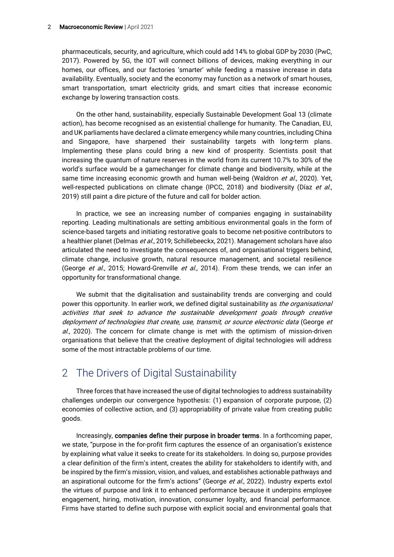pharmaceuticals, security, and agriculture, which could add 14% to global GDP by 2030 (PwC, 2017). Powered by 5G, the IOT will connect billions of devices, making everything in our homes, our offices, and our factories 'smarter' while feeding a massive increase in data availability. Eventually, society and the economy may function as a network of smart houses, smart transportation, smart electricity grids, and smart cities that increase economic exchange by lowering transaction costs.

On the other hand, sustainability, especially Sustainable Development Goal 13 (climate action), has become recognised as an existential challenge for humanity. The Canadian, EU, and UK parliaments have declared a climate emergency while many countries, including China and Singapore, have sharpened their sustainability targets with long-term plans. Implementing these plans could bring a new kind of prosperity. Scientists posit that increasing the quantum of nature reserves in the world from its current 10.7% to 30% of the world's surface would be a gamechanger for climate change and biodiversity, while at the same time increasing economic growth and human well-being (Waldron et al., 2020). Yet, well-respected publications on climate change (IPCC, 2018) and biodiversity (Díaz et al., 2019) still paint a dire picture of the future and call for bolder action.

In practice, we see an increasing number of companies engaging in sustainability reporting. Leading multinationals are setting ambitious environmental goals in the form of science-based targets and initiating restorative goals to become net-positive contributors to a healthier planet (Delmas et al., 2019; Schillebeeckx, 2021). Management scholars have also articulated the need to investigate the consequences of, and organisational triggers behind, climate change, inclusive growth, natural resource management, and societal resilience (George et al., 2015; Howard-Grenville et al., 2014). From these trends, we can infer an opportunity for transformational change.

We submit that the digitalisation and sustainability trends are converging and could power this opportunity. In earlier work, we defined digital sustainability as *the organisational* activities that seek to advance the sustainable development goals through creative deployment of technologies that create, use, transmit, or source electronic data (George et  $al.$ , 2020). The concern for climate change is met with the optimism of mission-driven organisations that believe that the creative deployment of digital technologies will address some of the most intractable problems of our time.

## 2 The Drivers of Digital Sustainability

Three forces that have increased the use of digital technologies to address sustainability challenges underpin our convergence hypothesis: (1) expansion of corporate purpose, (2) economies of collective action, and (3) appropriability of private value from creating public goods.

Increasingly, companies define their purpose in broader terms. In a forthcoming paper, we state, "purpose in the for-profit firm captures the essence of an organisation's existence by explaining what value it seeks to create for its stakeholders. In doing so, purpose provides a clear definition of the firm's intent, creates the ability for stakeholders to identify with, and be inspired by the firm's mission, vision, and values, and establishes actionable pathways and an aspirational outcome for the firm's actions" (George et al., 2022). Industry experts extol the virtues of purpose and link it to enhanced performance because it underpins employee engagement, hiring, motivation, innovation, consumer loyalty, and financial performance. Firms have started to define such purpose with explicit social and environmental goals that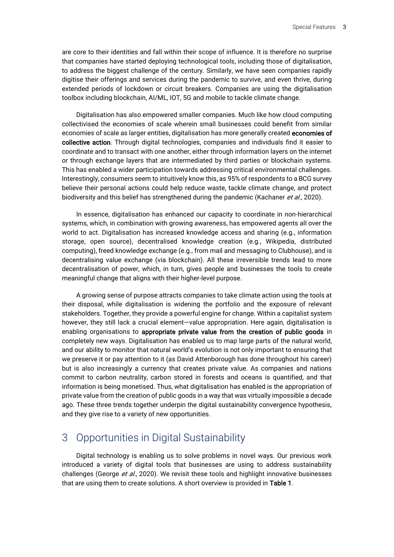are core to their identities and fall within their scope of influence. It is therefore no surprise that companies have started deploying technological tools, including those of digitalisation, to address the biggest challenge of the century. Similarly, we have seen companies rapidly digitise their offerings and services during the pandemic to survive, and even thrive, during extended periods of lockdown or circuit breakers. Companies are using the digitalisation toolbox including blockchain, AI/ML, IOT, 5G and mobile to tackle climate change.

Digitalisation has also empowered smaller companies. Much like how cloud computing collectivised the economies of scale wherein small businesses could benefit from similar economies of scale as larger entities, digitalisation has more generally created economies of collective action. Through digital technologies, companies and individuals find it easier to coordinate and to transact with one another, either through information layers on the internet or through exchange layers that are intermediated by third parties or blockchain systems. This has enabled a wider participation towards addressing critical environmental challenges. Interestingly, consumers seem to intuitively know this, as 95% of respondents to a BCG survey believe their personal actions could help reduce waste, tackle climate change, and protect biodiversity and this belief has strengthened during the pandemic (Kachaner et al., 2020).

In essence, digitalisation has enhanced our capacity to coordinate in non-hierarchical systems, which, in combination with growing awareness, has empowered agents all over the world to act. Digitalisation has increased knowledge access and sharing (e.g., information storage, open source), decentralised knowledge creation (e.g., Wikipedia, distributed computing), freed knowledge exchange (e.g., from mail and messaging to Clubhouse), and is decentralising value exchange (via blockchain). All these irreversible trends lead to more decentralisation of power, which, in turn, gives people and businesses the tools to create meaningful change that aligns with their higher-level purpose.

A growing sense of purpose attracts companies to take climate action using the tools at their disposal, while digitalisation is widening the portfolio and the exposure of relevant stakeholders. Together, they provide a powerful engine for change. Within a capitalist system however, they still lack a crucial element—value appropriation. Here again, digitalisation is enabling organisations to appropriate private value from the creation of public goods in completely new ways. Digitalisation has enabled us to map large parts of the natural world, and our ability to monitor that natural world's evolution is not only important to ensuring that we preserve it or pay attention to it (as David Attenborough has done throughout his career) but is also increasingly a currency that creates private value. As companies and nations commit to carbon neutrality, carbon stored in forests and oceans is quantified, and that information is being monetised. Thus, what digitalisation has enabled is the appropriation of private value from the creation of public goods in a way that was virtually impossible a decade ago. These three trends together underpin the digital sustainability convergence hypothesis, and they give rise to a variety of new opportunities.

## 3 Opportunities in Digital Sustainability

Digital technology is enabling us to solve problems in novel ways. Our previous work introduced a variety of digital tools that businesses are using to address sustainability challenges (George et al., 2020). We revisit these tools and highlight innovative businesses that are using them to create solutions. A short overview is provided in Table 1.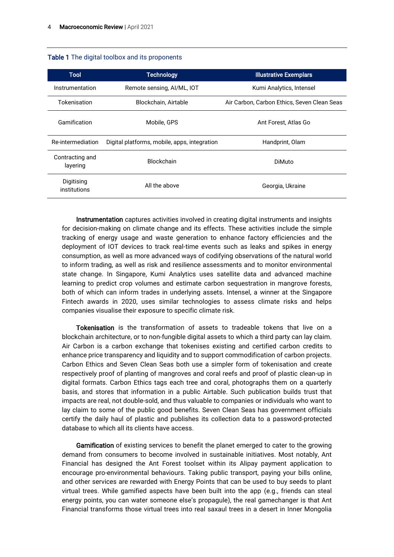|  |  |  |  |  | Table 1 The digital toolbox and its proponents |
|--|--|--|--|--|------------------------------------------------|
|--|--|--|--|--|------------------------------------------------|

| <b>Tool</b>                 | <b>Technology</b>                            | <b>Illustrative Exemplars</b>               |  |
|-----------------------------|----------------------------------------------|---------------------------------------------|--|
| Instrumentation             | Remote sensing, AI/ML, IOT                   | Kumi Analytics, Intensel                    |  |
| Tokenisation                | Blockchain, Airtable                         | Air Carbon, Carbon Ethics, Seven Clean Seas |  |
| Gamification                | Mobile, GPS                                  | Ant Forest, Atlas Go                        |  |
| Re-intermediation           | Digital platforms, mobile, apps, integration | Handprint, Olam                             |  |
| Contracting and<br>layering | <b>Blockchain</b>                            | DiMuto                                      |  |
| Digitising<br>institutions  | All the above                                | Georgia, Ukraine                            |  |

Instrumentation captures activities involved in creating digital instruments and insights for decision-making on climate change and its effects. These activities include the simple tracking of energy usage and waste generation to enhance factory efficiencies and the deployment of IOT devices to track real-time events such as leaks and spikes in energy consumption, as well as more advanced ways of codifying observations of the natural world to inform trading, as well as risk and resilience assessments and to monitor environmental state change. In Singapore, Kumi Analytics uses satellite data and advanced machine learning to predict crop volumes and estimate carbon sequestration in mangrove forests, both of which can inform trades in underlying assets. Intensel, a winner at the Singapore Fintech awards in 2020, uses similar technologies to assess climate risks and helps companies visualise their exposure to specific climate risk.

Tokenisation is the transformation of assets to tradeable tokens that live on a blockchain architecture, or to non-fungible digital assets to which a third party can lay claim. Air Carbon is a carbon exchange that tokenises existing and certified carbon credits to enhance price transparency and liquidity and to support commodification of carbon projects. Carbon Ethics and Seven Clean Seas both use a simpler form of tokenisation and create respectively proof of planting of mangroves and coral reefs and proof of plastic clean-up in digital formats. Carbon Ethics tags each tree and coral, photographs them on a quarterly basis, and stores that information in a public Airtable. Such publication builds trust that impacts are real, not double-sold, and thus valuable to companies or individuals who want to lay claim to some of the public good benefits. Seven Clean Seas has government officials certify the daily haul of plastic and publishes its collection data to a password-protected database to which all its clients have access.

Gamification of existing services to benefit the planet emerged to cater to the growing demand from consumers to become involved in sustainable initiatives. Most notably, Ant Financial has designed the Ant Forest toolset within its Alipay payment application to encourage pro-environmental behaviours. Taking public transport, paying your bills online, and other services are rewarded with Energy Points that can be used to buy seeds to plant virtual trees. While gamified aspects have been built into the app (e.g., friends can steal energy points, you can water someone else's propagule), the real gamechanger is that Ant Financial transforms those virtual trees into real saxaul trees in a desert in Inner Mongolia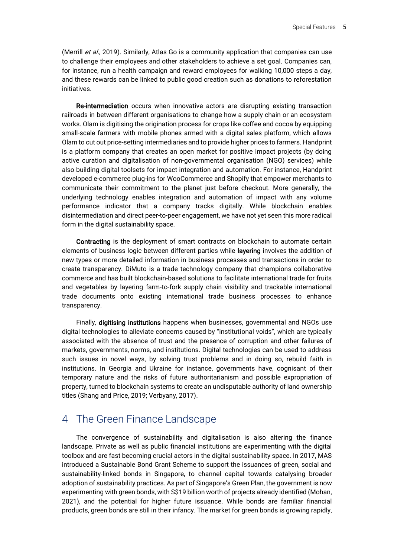(Merrill et al., 2019). Similarly, Atlas Go is a community application that companies can use to challenge their employees and other stakeholders to achieve a set goal. Companies can, for instance, run a health campaign and reward employees for walking 10,000 steps a day, and these rewards can be linked to public good creation such as donations to reforestation initiatives.

Re-intermediation occurs when innovative actors are disrupting existing transaction railroads in between different organisations to change how a supply chain or an ecosystem works. Olam is digitising the origination process for crops like coffee and cocoa by equipping small-scale farmers with mobile phones armed with a digital sales platform, which allows Olam to cut out price-setting intermediaries and to provide higher prices to farmers. Handprint is a platform company that creates an open market for positive impact projects (by doing active curation and digitalisation of non-governmental organisation (NGO) services) while also building digital toolsets for impact integration and automation. For instance, Handprint developed e-commerce plug-ins for WooCommerce and Shopify that empower merchants to communicate their commitment to the planet just before checkout. More generally, the underlying technology enables integration and automation of impact with any volume performance indicator that a company tracks digitally. While blockchain enables disintermediation and direct peer-to-peer engagement, we have not yet seen this more radical form in the digital sustainability space.

Contracting is the deployment of smart contracts on blockchain to automate certain elements of business logic between different parties while layering involves the addition of new types or more detailed information in business processes and transactions in order to create transparency. DiMuto is a trade technology company that champions collaborative commerce and has built blockchain-based solutions to facilitate international trade for fruits and vegetables by layering farm-to-fork supply chain visibility and trackable international trade documents onto existing international trade business processes to enhance transparency.

Finally, digitising institutions happens when businesses, governmental and NGOs use digital technologies to alleviate concerns caused by "institutional voids", which are typically associated with the absence of trust and the presence of corruption and other failures of markets, governments, norms, and institutions. Digital technologies can be used to address such issues in novel ways, by solving trust problems and in doing so, rebuild faith in institutions. In Georgia and Ukraine for instance, governments have, cognisant of their temporary nature and the risks of future authoritarianism and possible expropriation of property, turned to blockchain systems to create an undisputable authority of land ownership titles (Shang and Price, 2019; Verbyany, 2017).

### 4 The Green Finance Landscape

The convergence of sustainability and digitalisation is also altering the finance landscape. Private as well as public financial institutions are experimenting with the digital toolbox and are fast becoming crucial actors in the digital sustainability space. In 2017, MAS introduced a Sustainable Bond Grant Scheme to support the issuances of green, social and sustainability-linked bonds in Singapore, to channel capital towards catalysing broader adoption of sustainability practices. As part of Singapore's Green Plan, the government is now experimenting with green bonds, with S\$19 billion worth of projects already identified (Mohan, 2021), and the potential for higher future issuance. While bonds are familiar financial products, green bonds are still in their infancy. The market for green bonds is growing rapidly,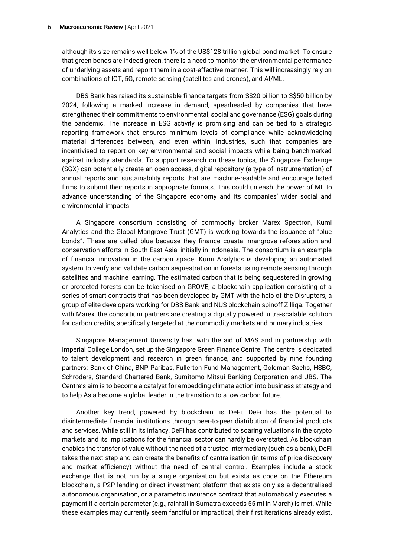although its size remains well below 1% of the US\$128 trillion global bond market. To ensure that green bonds are indeed green, there is a need to monitor the environmental performance of underlying assets and report them in a cost-effective manner. This will increasingly rely on combinations of IOT, 5G, remote sensing (satellites and drones), and AI/ML.

DBS Bank has raised its sustainable finance targets from S\$20 billion to S\$50 billion by 2024, following a marked increase in demand, spearheaded by companies that have strengthened their commitments to environmental, social and governance (ESG) goals during the pandemic. The increase in ESG activity is promising and can be tied to a strategic reporting framework that ensures minimum levels of compliance while acknowledging material differences between, and even within, industries, such that companies are incentivised to report on key environmental and social impacts while being benchmarked against industry standards. To support research on these topics, the Singapore Exchange (SGX) can potentially create an open access, digital repository (a type of instrumentation) of annual reports and sustainability reports that are machine-readable and encourage listed firms to submit their reports in appropriate formats. This could unleash the power of ML to advance understanding of the Singapore economy and its companies' wider social and environmental impacts.

A Singapore consortium consisting of commodity broker Marex Spectron, Kumi Analytics and the Global Mangrove Trust (GMT) is working towards the issuance of "blue bonds". These are called blue because they finance coastal mangrove reforestation and conservation efforts in South East Asia, initially in Indonesia. The consortium is an example of financial innovation in the carbon space. Kumi Analytics is developing an automated system to verify and validate carbon sequestration in forests using remote sensing through satellites and machine learning. The estimated carbon that is being sequestered in growing or protected forests can be tokenised on GROVE, a blockchain application consisting of a series of smart contracts that has been developed by GMT with the help of the Disruptors, a group of elite developers working for DBS Bank and NUS blockchain spinoff Zilliqa. Together with Marex, the consortium partners are creating a digitally powered, ultra-scalable solution for carbon credits, specifically targeted at the commodity markets and primary industries.

Singapore Management University has, with the aid of MAS and in partnership with Imperial College London, set up the Singapore Green Finance Centre. The centre is dedicated to talent development and research in green finance, and supported by nine founding partners: Bank of China, BNP Paribas, Fullerton Fund Management, Goldman Sachs, HSBC, Schroders, Standard Chartered Bank, Sumitomo Mitsui Banking Corporation and UBS. The Centre's aim is to become a catalyst for embedding climate action into business strategy and to help Asia become a global leader in the transition to a low carbon future.

Another key trend, powered by blockchain, is DeFi. DeFi has the potential to disintermediate financial institutions through peer-to-peer distribution of financial products and services. While still in its infancy, DeFi has contributed to soaring valuations in the crypto markets and its implications for the financial sector can hardly be overstated. As blockchain enables the transfer of value without the need of a trusted intermediary (such as a bank), DeFi takes the next step and can create the benefits of centralisation (in terms of price discovery and market efficiency) without the need of central control. Examples include a stock exchange that is not run by a single organisation but exists as code on the Ethereum blockchain, a P2P lending or direct investment platform that exists only as a decentralised autonomous organisation, or a parametric insurance contract that automatically executes a payment if a certain parameter (e.g., rainfall in Sumatra exceeds 55 ml in March) is met. While these examples may currently seem fanciful or impractical, their first iterations already exist,